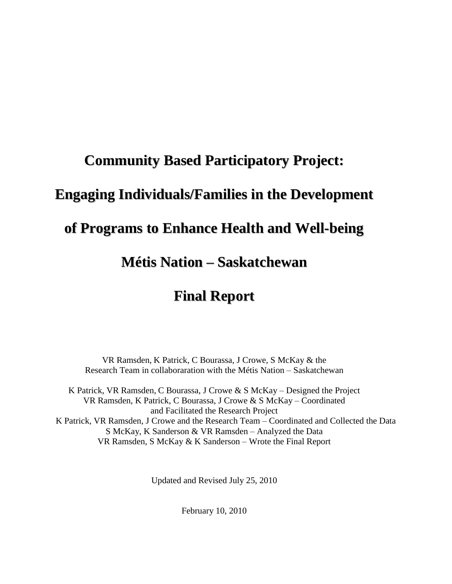# **Community Based Participatory Project:**

# **Engaging Individuals/Families in the Development**

# **of Programs to Enhance Health and Well-being**

# **Métis Nation – Saskatchewan**

# **Final Report**

VR Ramsden, K Patrick, C Bourassa, J Crowe, S McKay & the Research Team in collaboraration with the Métis Nation – Saskatchewan

K Patrick, VR Ramsden, C Bourassa, J Crowe & S McKay – Designed the Project VR Ramsden, K Patrick, C Bourassa, J Crowe & S McKay – Coordinated and Facilitated the Research Project K Patrick, VR Ramsden, J Crowe and the Research Team – Coordinated and Collected the Data S McKay, K Sanderson & VR Ramsden – Analyzed the Data VR Ramsden, S McKay & K Sanderson – Wrote the Final Report

Updated and Revised July 25, 2010

February 10, 2010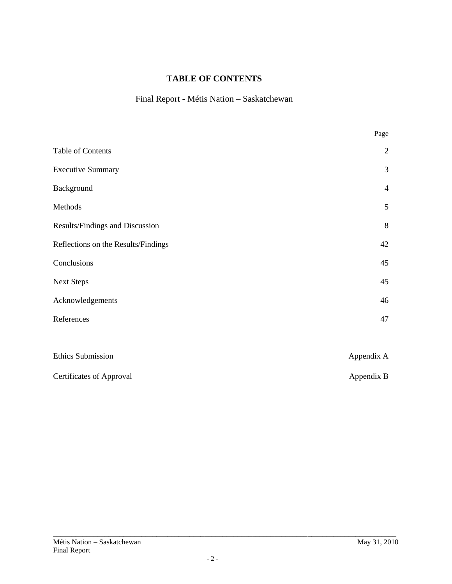# **TABLE OF CONTENTS**

# Final Report - Métis Nation – Saskatchewan

|                                     | Page           |
|-------------------------------------|----------------|
| Table of Contents                   | $\overline{2}$ |
| <b>Executive Summary</b>            | 3              |
| Background                          | $\overline{4}$ |
| Methods                             | $\mathfrak{S}$ |
| Results/Findings and Discussion     | 8              |
| Reflections on the Results/Findings | 42             |
| Conclusions                         | 45             |
| <b>Next Steps</b>                   | 45             |
| Acknowledgements                    | 46             |
| References                          | 47             |
|                                     |                |
| <b>Ethics Submission</b>            | Appendix A     |
| Certificates of Approval            | Appendix B     |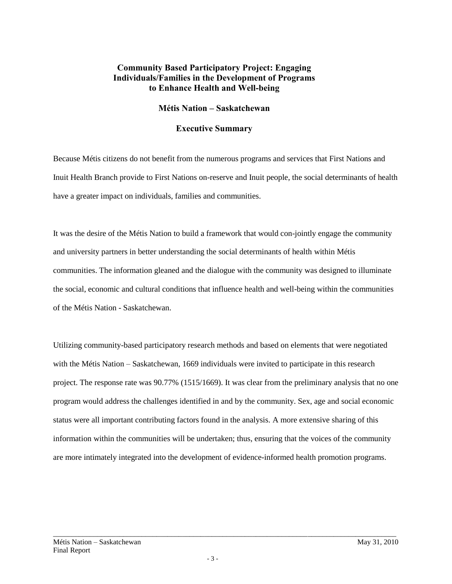### **Community Based Participatory Project: Engaging Individuals/Families in the Development of Programs to Enhance Health and Well-being**

#### **Métis Nation – Saskatchewan**

#### **Executive Summary**

Because Métis citizens do not benefit from the numerous programs and services that First Nations and Inuit Health Branch provide to First Nations on-reserve and Inuit people, the social determinants of health have a greater impact on individuals, families and communities.

It was the desire of the Métis Nation to build a framework that would con-jointly engage the community and university partners in better understanding the social determinants of health within Métis communities. The information gleaned and the dialogue with the community was designed to illuminate the social, economic and cultural conditions that influence health and well-being within the communities of the Métis Nation - Saskatchewan.

Utilizing community-based participatory research methods and based on elements that were negotiated with the Métis Nation – Saskatchewan, 1669 individuals were invited to participate in this research project. The response rate was 90.77% (1515/1669). It was clear from the preliminary analysis that no one program would address the challenges identified in and by the community. Sex, age and social economic status were all important contributing factors found in the analysis. A more extensive sharing of this information within the communities will be undertaken; thus, ensuring that the voices of the community are more intimately integrated into the development of evidence-informed health promotion programs.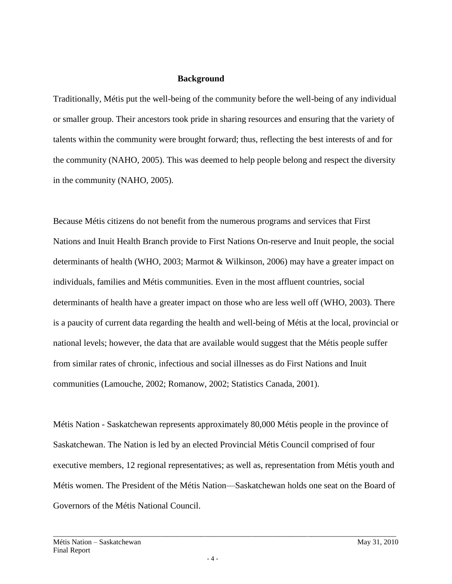#### **Background**

Traditionally, Métis put the well-being of the community before the well-being of any individual or smaller group. Their ancestors took pride in sharing resources and ensuring that the variety of talents within the community were brought forward; thus, reflecting the best interests of and for the community (NAHO, 2005). This was deemed to help people belong and respect the diversity in the community (NAHO, 2005).

Because Métis citizens do not benefit from the numerous programs and services that First Nations and Inuit Health Branch provide to First Nations On-reserve and Inuit people, the social determinants of health (WHO, 2003; Marmot & Wilkinson, 2006) may have a greater impact on individuals, families and Métis communities. Even in the most affluent countries, social determinants of health have a greater impact on those who are less well off (WHO, 2003). There is a paucity of current data regarding the health and well-being of Métis at the local, provincial or national levels; however, the data that are available would suggest that the Métis people suffer from similar rates of chronic, infectious and social illnesses as do First Nations and Inuit communities (Lamouche, 2002; Romanow, 2002; Statistics Canada, 2001).

Métis Nation - Saskatchewan represents approximately 80,000 Métis people in the province of Saskatchewan. The Nation is led by an elected Provincial Métis Council comprised of four executive members, 12 regional representatives; as well as, representation from Métis youth and Métis women. The President of the Métis Nation—Saskatchewan holds one seat on the Board of Governors of the Métis National Council.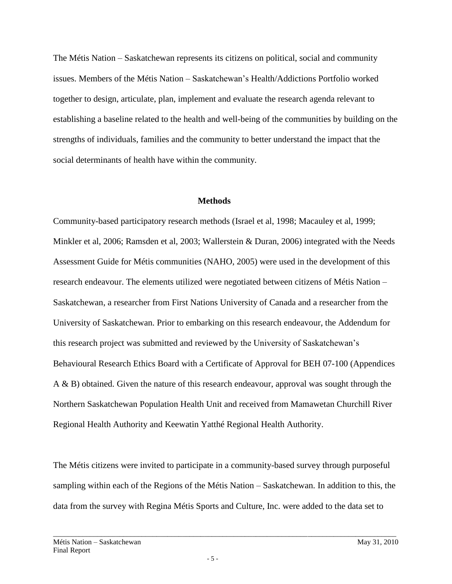The Métis Nation – Saskatchewan represents its citizens on political, social and community issues. Members of the Métis Nation – Saskatchewan's Health/Addictions Portfolio worked together to design, articulate, plan, implement and evaluate the research agenda relevant to establishing a baseline related to the health and well-being of the communities by building on the strengths of individuals, families and the community to better understand the impact that the social determinants of health have within the community.

#### **Methods**

Community-based participatory research methods (Israel et al, 1998; Macauley et al, 1999; Minkler et al, 2006; Ramsden et al, 2003; Wallerstein & Duran, 2006) integrated with the Needs Assessment Guide for Métis communities (NAHO, 2005) were used in the development of this research endeavour. The elements utilized were negotiated between citizens of Métis Nation – Saskatchewan, a researcher from First Nations University of Canada and a researcher from the University of Saskatchewan. Prior to embarking on this research endeavour, the Addendum for this research project was submitted and reviewed by the University of Saskatchewan's Behavioural Research Ethics Board with a Certificate of Approval for BEH 07-100 (Appendices A & B) obtained. Given the nature of this research endeavour, approval was sought through the Northern Saskatchewan Population Health Unit and received from Mamawetan Churchill River Regional Health Authority and Keewatin Yatthé Regional Health Authority.

The Métis citizens were invited to participate in a community-based survey through purposeful sampling within each of the Regions of the Métis Nation – Saskatchewan. In addition to this, the data from the survey with Regina Métis Sports and Culture, Inc. were added to the data set to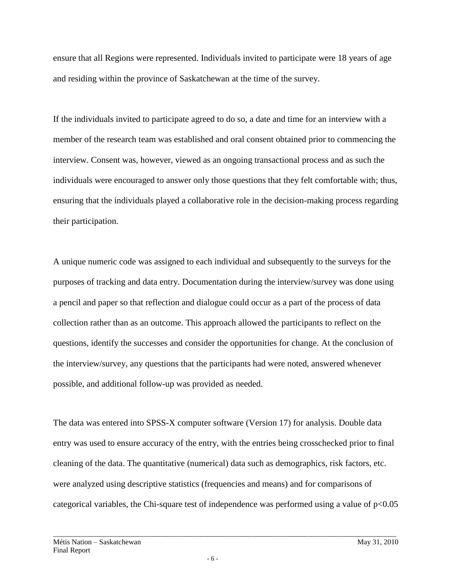ensure that all Regions were represented. Individuals invited to participate were 18 years of age and residing within the province of Saskatchewan at the time of the survey.

If the individuals invited to participate agreed to do so, a date and time for an interview with a member of the research team was established and oral consent obtained prior to commencing the interview. Consent was, however, viewed as an ongoing transactional process and as such the individuals were encouraged to answer only those questions that they felt comfortable with; thus, ensuring that the individuals played a collaborative role in the decision-making process regarding their participation.

A unique numeric code was assigned to each individual and subsequently to the surveys for the purposes of tracking and data entry. Documentation during the interview/survey was done using a pencil and paper so that reflection and dialogue could occur as a part of the process of data collection rather than as an outcome. This approach allowed the participants to reflect on the questions, identify the successes and consider the opportunities for change. At the conclusion of the interview/survey, any questions that the participants had were noted, answered whenever possible, and additional follow-up was provided as needed.

The data was entered into SPSS-X computer software (Version 17) for analysis. Double data entry was used to ensure accuracy of the entry, with the entries being crosschecked prior to final cleaning of the data. The quantitative (numerical) data such as demographics, risk factors, etc. were analyzed using descriptive statistics (frequencies and means) and for comparisons of categorical variables, the Chi-square test of independence was performed using a value of  $p<0.05$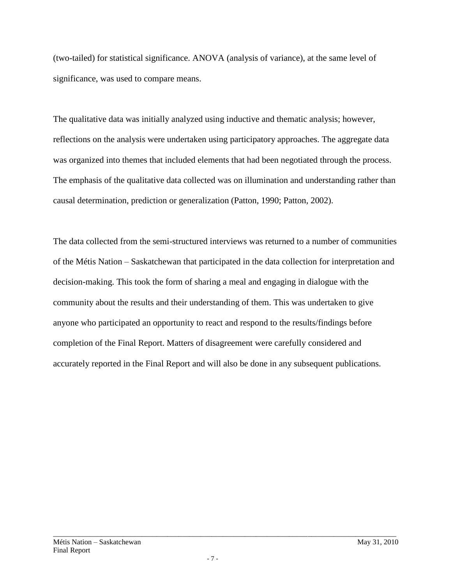(two-tailed) for statistical significance. ANOVA (analysis of variance), at the same level of significance, was used to compare means.

The qualitative data was initially analyzed using inductive and thematic analysis; however, reflections on the analysis were undertaken using participatory approaches. The aggregate data was organized into themes that included elements that had been negotiated through the process. The emphasis of the qualitative data collected was on illumination and understanding rather than causal determination, prediction or generalization (Patton, 1990; Patton, 2002).

The data collected from the semi-structured interviews was returned to a number of communities of the Métis Nation – Saskatchewan that participated in the data collection for interpretation and decision-making. This took the form of sharing a meal and engaging in dialogue with the community about the results and their understanding of them. This was undertaken to give anyone who participated an opportunity to react and respond to the results/findings before completion of the Final Report. Matters of disagreement were carefully considered and accurately reported in the Final Report and will also be done in any subsequent publications.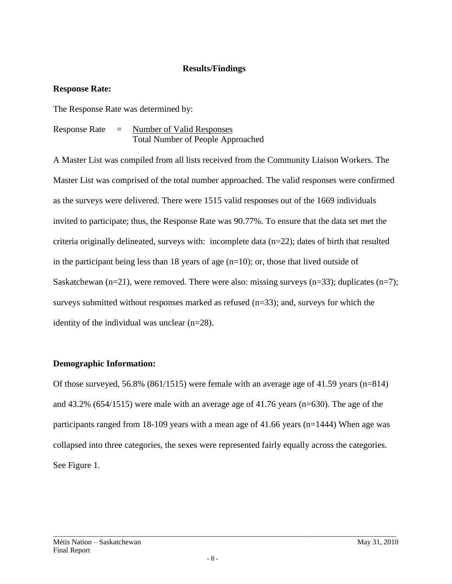### **Results/Findings**

#### **Response Rate:**

The Response Rate was determined by:

Response Rate = Number of Valid Responses Total Number of People Approached

A Master List was compiled from all lists received from the Community Liaison Workers. The Master List was comprised of the total number approached. The valid responses were confirmed as the surveys were delivered. There were 1515 valid responses out of the 1669 individuals invited to participate; thus, the Response Rate was 90.77%. To ensure that the data set met the criteria originally delineated, surveys with: incomplete data  $(n=22)$ ; dates of birth that resulted in the participant being less than 18 years of age  $(n=10)$ ; or, those that lived outside of Saskatchewan (n=21), were removed. There were also: missing surveys (n=33); duplicates (n=7); surveys submitted without responses marked as refused  $(n=33)$ ; and, surveys for which the identity of the individual was unclear (n=28).

#### **Demographic Information:**

Of those surveyed, 56.8% (861/1515) were female with an average age of 41.59 years (n=814) and 43.2% (654/1515) were male with an average age of 41.76 years (n=630). The age of the participants ranged from 18-109 years with a mean age of 41.66 years (n=1444) When age was collapsed into three categories, the sexes were represented fairly equally across the categories. See Figure 1.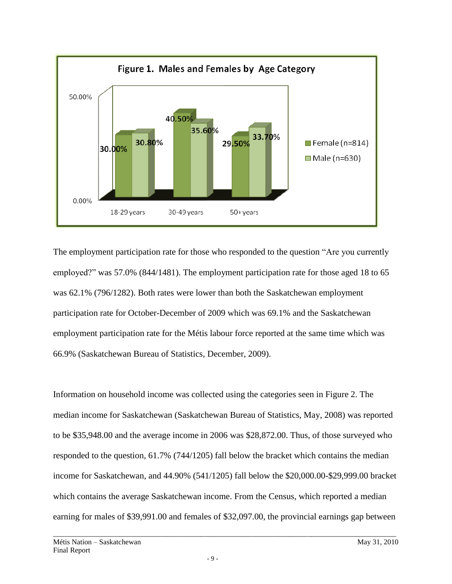

The employment participation rate for those who responded to the question "Are you currently" employed?" was 57.0% (844/1481). The employment participation rate for those aged 18 to 65 was 62.1% (796/1282). Both rates were lower than both the Saskatchewan employment participation rate for October-December of 2009 which was 69.1% and the Saskatchewan employment participation rate for the Métis labour force reported at the same time which was 66.9% (Saskatchewan Bureau of Statistics, December, 2009).

Information on household income was collected using the categories seen in Figure 2. The median income for Saskatchewan (Saskatchewan Bureau of Statistics, May, 2008) was reported to be \$35,948.00 and the average income in 2006 was \$28,872.00. Thus, of those surveyed who responded to the question, 61.7% (744/1205) fall below the bracket which contains the median income for Saskatchewan, and 44.90% (541/1205) fall below the \$20,000.00-\$29,999.00 bracket which contains the average Saskatchewan income. From the Census, which reported a median earning for males of \$39,991.00 and females of \$32,097.00, the provincial earnings gap between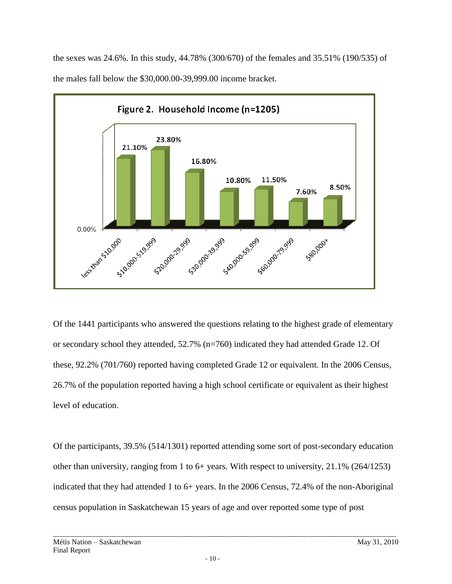the sexes was 24.6%. In this study, 44.78% (300/670) of the females and 35.51% (190/535) of the males fall below the \$30,000.00-39,999.00 income bracket.



Of the 1441 participants who answered the questions relating to the highest grade of elementary or secondary school they attended, 52.7% (n=760) indicated they had attended Grade 12. Of these, 92.2% (701/760) reported having completed Grade 12 or equivalent. In the 2006 Census, 26.7% of the population reported having a high school certificate or equivalent as their highest level of education.

Of the participants, 39.5% (514/1301) reported attending some sort of post-secondary education other than university, ranging from 1 to 6+ years. With respect to university, 21.1% (264/1253) indicated that they had attended 1 to 6+ years. In the 2006 Census, 72.4% of the non-Aboriginal census population in Saskatchewan 15 years of age and over reported some type of post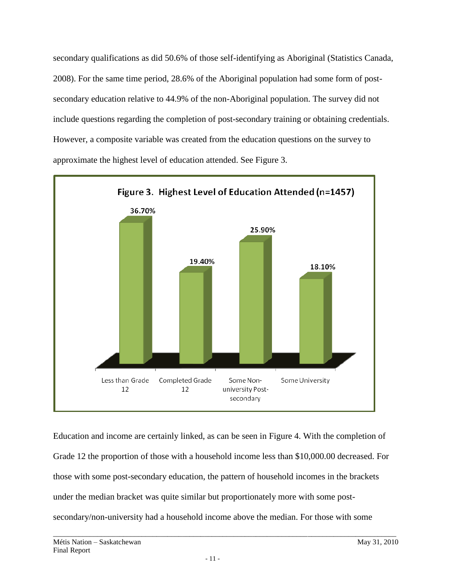secondary qualifications as did 50.6% of those self-identifying as Aboriginal (Statistics Canada, 2008). For the same time period, 28.6% of the Aboriginal population had some form of postsecondary education relative to 44.9% of the non-Aboriginal population. The survey did not include questions regarding the completion of post-secondary training or obtaining credentials. However, a composite variable was created from the education questions on the survey to approximate the highest level of education attended. See Figure 3.



Education and income are certainly linked, as can be seen in Figure 4. With the completion of Grade 12 the proportion of those with a household income less than \$10,000.00 decreased. For those with some post-secondary education, the pattern of household incomes in the brackets under the median bracket was quite similar but proportionately more with some postsecondary/non-university had a household income above the median. For those with some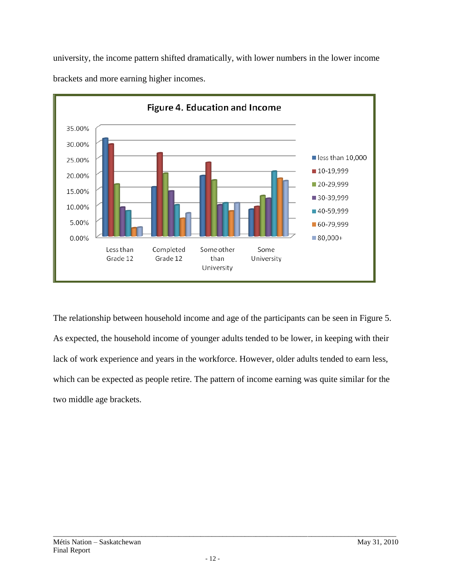

university, the income pattern shifted dramatically, with lower numbers in the lower income brackets and more earning higher incomes.

The relationship between household income and age of the participants can be seen in Figure 5. As expected, the household income of younger adults tended to be lower, in keeping with their lack of work experience and years in the workforce. However, older adults tended to earn less, which can be expected as people retire. The pattern of income earning was quite similar for the two middle age brackets.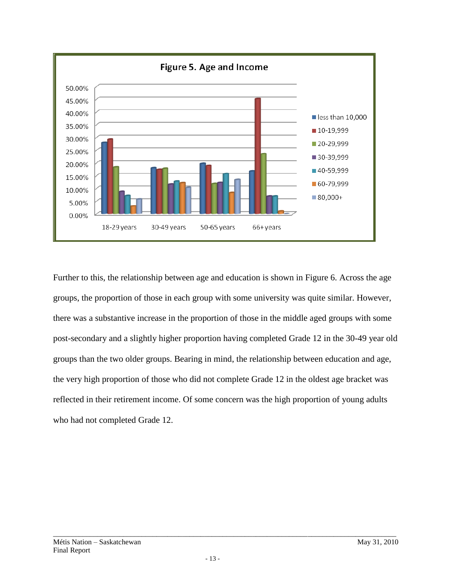

Further to this, the relationship between age and education is shown in Figure 6. Across the age groups, the proportion of those in each group with some university was quite similar. However, there was a substantive increase in the proportion of those in the middle aged groups with some post-secondary and a slightly higher proportion having completed Grade 12 in the 30-49 year old groups than the two older groups. Bearing in mind, the relationship between education and age, the very high proportion of those who did not complete Grade 12 in the oldest age bracket was reflected in their retirement income. Of some concern was the high proportion of young adults who had not completed Grade 12.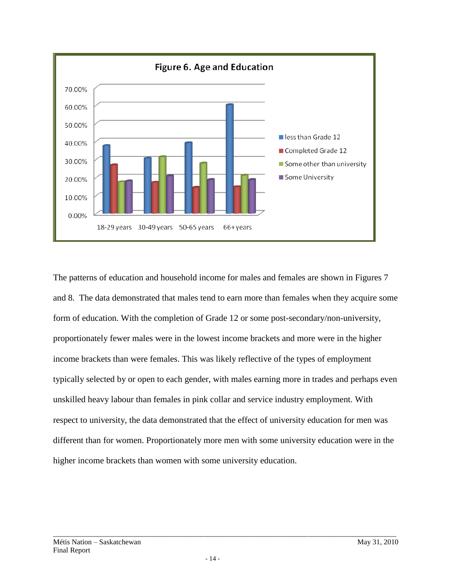

The patterns of education and household income for males and females are shown in Figures 7 and 8. The data demonstrated that males tend to earn more than females when they acquire some form of education. With the completion of Grade 12 or some post-secondary/non-university, proportionately fewer males were in the lowest income brackets and more were in the higher income brackets than were females. This was likely reflective of the types of employment typically selected by or open to each gender, with males earning more in trades and perhaps even unskilled heavy labour than females in pink collar and service industry employment. With respect to university, the data demonstrated that the effect of university education for men was different than for women. Proportionately more men with some university education were in the higher income brackets than women with some university education.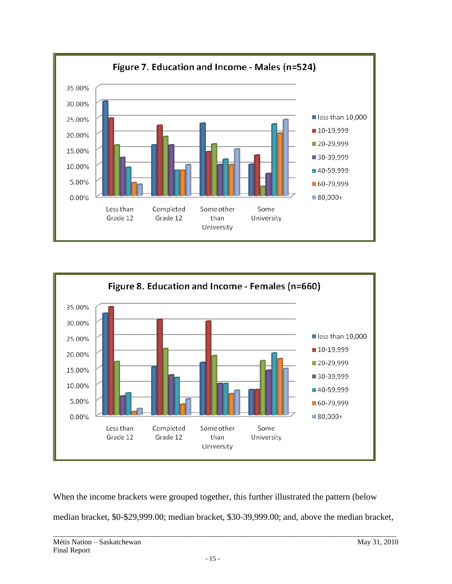



When the income brackets were grouped together, this further illustrated the pattern (below median bracket, \$0-\$29,999.00; median bracket, \$30-39,999.00; and, above the median bracket,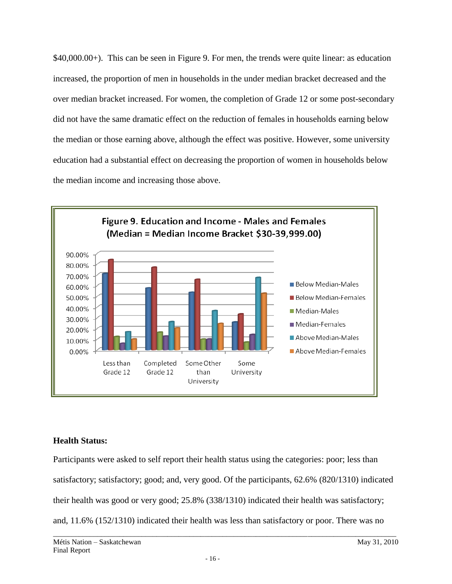\$40,000.00+). This can be seen in Figure 9. For men, the trends were quite linear: as education increased, the proportion of men in households in the under median bracket decreased and the over median bracket increased. For women, the completion of Grade 12 or some post-secondary did not have the same dramatic effect on the reduction of females in households earning below the median or those earning above, although the effect was positive. However, some university education had a substantial effect on decreasing the proportion of women in households below the median income and increasing those above.



# **Health Status:**

Participants were asked to self report their health status using the categories: poor; less than satisfactory; satisfactory; good; and, very good. Of the participants, 62.6% (820/1310) indicated their health was good or very good; 25.8% (338/1310) indicated their health was satisfactory; and, 11.6% (152/1310) indicated their health was less than satisfactory or poor. There was no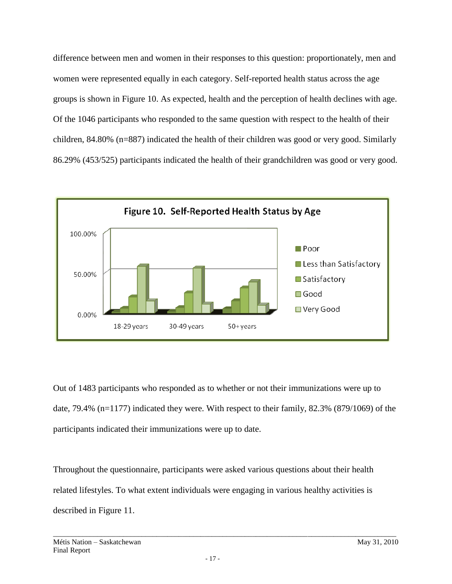difference between men and women in their responses to this question: proportionately, men and women were represented equally in each category. Self-reported health status across the age groups is shown in Figure 10. As expected, health and the perception of health declines with age. Of the 1046 participants who responded to the same question with respect to the health of their children, 84.80% (n=887) indicated the health of their children was good or very good. Similarly 86.29% (453/525) participants indicated the health of their grandchildren was good or very good.



Out of 1483 participants who responded as to whether or not their immunizations were up to date, 79.4% (n=1177) indicated they were. With respect to their family, 82.3% (879/1069) of the participants indicated their immunizations were up to date.

Throughout the questionnaire, participants were asked various questions about their health related lifestyles. To what extent individuals were engaging in various healthy activities is described in Figure 11.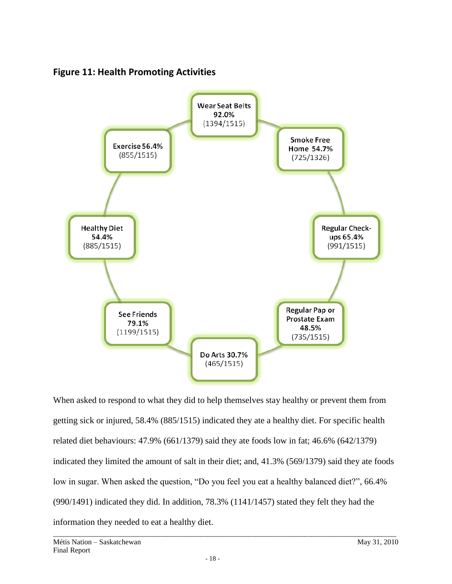



When asked to respond to what they did to help themselves stay healthy or prevent them from getting sick or injured, 58.4% (885/1515) indicated they ate a healthy diet. For specific health related diet behaviours: 47.9% (661/1379) said they ate foods low in fat; 46.6% (642/1379) indicated they limited the amount of salt in their diet; and, 41.3% (569/1379) said they ate foods low in sugar. When asked the question, "Do you feel you eat a healthy balanced diet?", 66.4% (990/1491) indicated they did. In addition, 78.3% (1141/1457) stated they felt they had the information they needed to eat a healthy diet.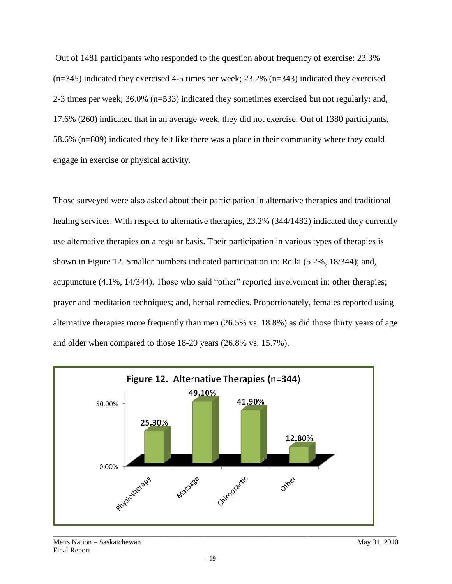Out of 1481 participants who responded to the question about frequency of exercise: 23.3% (n=345) indicated they exercised 4-5 times per week; 23.2% (n=343) indicated they exercised 2-3 times per week; 36.0% (n=533) indicated they sometimes exercised but not regularly; and, 17.6% (260) indicated that in an average week, they did not exercise. Out of 1380 participants, 58.6% (n=809) indicated they felt like there was a place in their community where they could engage in exercise or physical activity.

Those surveyed were also asked about their participation in alternative therapies and traditional healing services. With respect to alternative therapies, 23.2% (344/1482) indicated they currently use alternative therapies on a regular basis. Their participation in various types of therapies is shown in Figure 12. Smaller numbers indicated participation in: Reiki (5.2%, 18/344); and, acupuncture  $(4.1\%$ ,  $14/344)$ . Those who said "other" reported involvement in: other therapies; prayer and meditation techniques; and, herbal remedies. Proportionately, females reported using alternative therapies more frequently than men (26.5% vs. 18.8%) as did those thirty years of age and older when compared to those 18-29 years (26.8% vs. 15.7%).

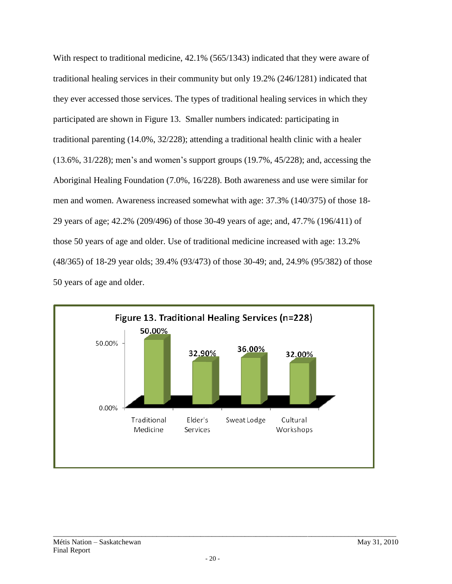With respect to traditional medicine,  $42.1\%$  (565/1343) indicated that they were aware of traditional healing services in their community but only 19.2% (246/1281) indicated that they ever accessed those services. The types of traditional healing services in which they participated are shown in Figure 13. Smaller numbers indicated: participating in traditional parenting (14.0%, 32/228); attending a traditional health clinic with a healer (13.6%, 31/228); men's and women's support groups (19.7%, 45/228); and, accessing the Aboriginal Healing Foundation (7.0%, 16/228). Both awareness and use were similar for men and women. Awareness increased somewhat with age: 37.3% (140/375) of those 18- 29 years of age; 42.2% (209/496) of those 30-49 years of age; and, 47.7% (196/411) of those 50 years of age and older. Use of traditional medicine increased with age: 13.2% (48/365) of 18-29 year olds; 39.4% (93/473) of those 30-49; and, 24.9% (95/382) of those 50 years of age and older.

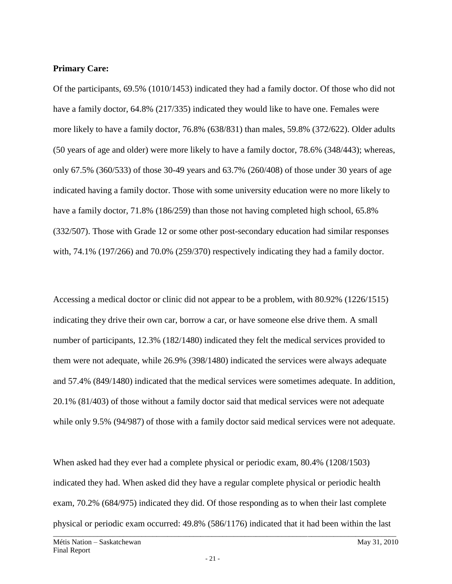#### **Primary Care:**

Of the participants, 69.5% (1010/1453) indicated they had a family doctor. Of those who did not have a family doctor, 64.8% (217/335) indicated they would like to have one. Females were more likely to have a family doctor, 76.8% (638/831) than males, 59.8% (372/622). Older adults (50 years of age and older) were more likely to have a family doctor, 78.6% (348/443); whereas, only 67.5% (360/533) of those 30-49 years and 63.7% (260/408) of those under 30 years of age indicated having a family doctor. Those with some university education were no more likely to have a family doctor, 71.8% (186/259) than those not having completed high school, 65.8% (332/507). Those with Grade 12 or some other post-secondary education had similar responses with, 74.1% (197/266) and 70.0% (259/370) respectively indicating they had a family doctor.

Accessing a medical doctor or clinic did not appear to be a problem, with 80.92% (1226/1515) indicating they drive their own car, borrow a car, or have someone else drive them. A small number of participants, 12.3% (182/1480) indicated they felt the medical services provided to them were not adequate, while 26.9% (398/1480) indicated the services were always adequate and 57.4% (849/1480) indicated that the medical services were sometimes adequate. In addition, 20.1% (81/403) of those without a family doctor said that medical services were not adequate while only 9.5% (94/987) of those with a family doctor said medical services were not adequate.

 $\overline{a_1}$  ,  $\overline{a_2}$  ,  $\overline{a_3}$  ,  $\overline{a_4}$  ,  $\overline{a_5}$  ,  $\overline{a_6}$  ,  $\overline{a_7}$  ,  $\overline{a_8}$  ,  $\overline{a_9}$  ,  $\overline{a_9}$  ,  $\overline{a_9}$  ,  $\overline{a_9}$  ,  $\overline{a_9}$  ,  $\overline{a_9}$  ,  $\overline{a_9}$  ,  $\overline{a_9}$  ,  $\overline{a_9}$  , When asked had they ever had a complete physical or periodic exam, 80.4% (1208/1503) indicated they had. When asked did they have a regular complete physical or periodic health exam, 70.2% (684/975) indicated they did. Of those responding as to when their last complete physical or periodic exam occurred: 49.8% (586/1176) indicated that it had been within the last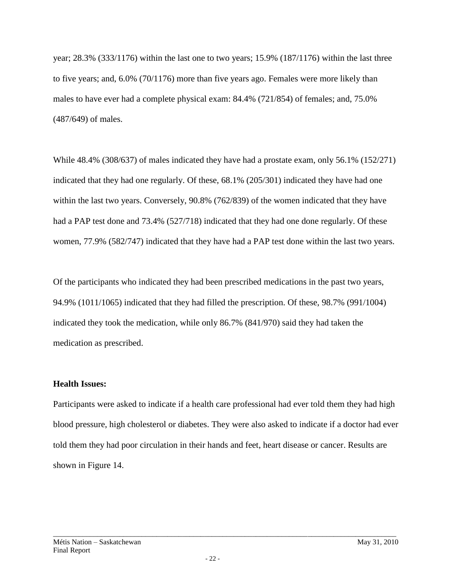year; 28.3% (333/1176) within the last one to two years; 15.9% (187/1176) within the last three to five years; and, 6.0% (70/1176) more than five years ago. Females were more likely than males to have ever had a complete physical exam: 84.4% (721/854) of females; and, 75.0% (487/649) of males.

While 48.4% (308/637) of males indicated they have had a prostate exam, only 56.1% (152/271) indicated that they had one regularly. Of these, 68.1% (205/301) indicated they have had one within the last two years. Conversely, 90.8% (762/839) of the women indicated that they have had a PAP test done and 73.4% (527/718) indicated that they had one done regularly. Of these women, 77.9% (582/747) indicated that they have had a PAP test done within the last two years.

Of the participants who indicated they had been prescribed medications in the past two years, 94.9% (1011/1065) indicated that they had filled the prescription. Of these, 98.7% (991/1004) indicated they took the medication, while only 86.7% (841/970) said they had taken the medication as prescribed.

## **Health Issues:**

Participants were asked to indicate if a health care professional had ever told them they had high blood pressure, high cholesterol or diabetes. They were also asked to indicate if a doctor had ever told them they had poor circulation in their hands and feet, heart disease or cancer. Results are shown in Figure 14.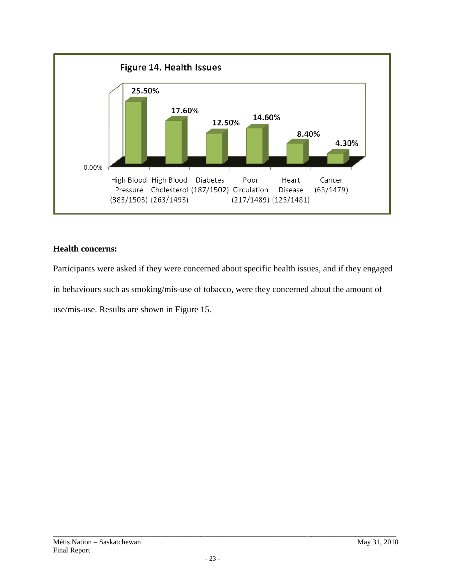

## **Health concerns:**

Participants were asked if they were concerned about specific health issues, and if they engaged in behaviours such as smoking/mis-use of tobacco, were they concerned about the amount of use/mis-use. Results are shown in Figure 15.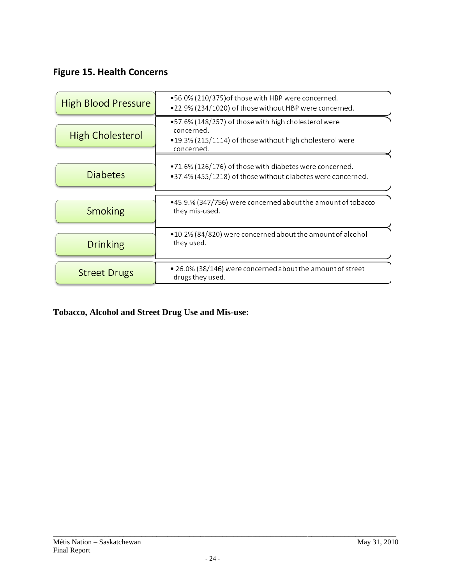# **Figure 15. Health Concerns**

| <b>High Blood Pressure</b> | •56.0% (210/375) of those with HBP were concerned.<br>.22.9% (234/1020) of those without HBP were concerned.                                 |
|----------------------------|----------------------------------------------------------------------------------------------------------------------------------------------|
| <b>High Cholesterol</b>    | •57.6% (148/257) of those with high cholesterol were<br>concerned.<br>•19.3% (215/1114) of those without high cholesterol were<br>concerned. |
| <b>Diabetes</b>            | .71.6% (126/176) of those with diabetes were concerned.<br>•37.4% (455/1218) of those without diabetes were concerned.                       |
| Smoking                    | •45.9.% (347/756) were concerned about the amount of tobacco<br>they mis-used.                                                               |
| <b>Drinking</b>            | •10.2% (84/820) were concerned about the amount of alcohol<br>they used.                                                                     |
| <b>Street Drugs</b>        | • 26.0% (38/146) were concerned about the amount of street<br>drugs they used.                                                               |

# **Tobacco, Alcohol and Street Drug Use and Mis-use:**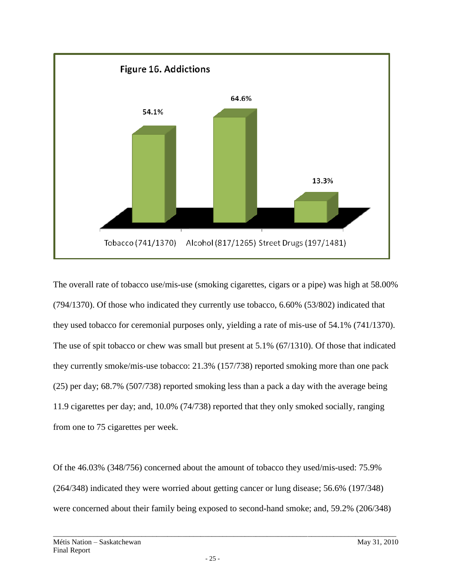

The overall rate of tobacco use/mis-use (smoking cigarettes, cigars or a pipe) was high at 58.00% (794/1370). Of those who indicated they currently use tobacco, 6.60% (53/802) indicated that they used tobacco for ceremonial purposes only, yielding a rate of mis-use of 54.1% (741/1370). The use of spit tobacco or chew was small but present at 5.1% (67/1310). Of those that indicated they currently smoke/mis-use tobacco: 21.3% (157/738) reported smoking more than one pack (25) per day; 68.7% (507/738) reported smoking less than a pack a day with the average being 11.9 cigarettes per day; and, 10.0% (74/738) reported that they only smoked socially, ranging from one to 75 cigarettes per week.

Of the 46.03% (348/756) concerned about the amount of tobacco they used/mis-used: 75.9% (264/348) indicated they were worried about getting cancer or lung disease; 56.6% (197/348) were concerned about their family being exposed to second-hand smoke; and, 59.2% (206/348)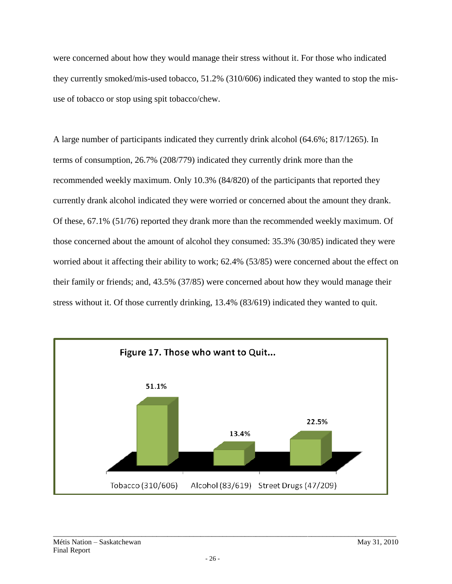were concerned about how they would manage their stress without it. For those who indicated they currently smoked/mis-used tobacco, 51.2% (310/606) indicated they wanted to stop the misuse of tobacco or stop using spit tobacco/chew.

A large number of participants indicated they currently drink alcohol (64.6%; 817/1265). In terms of consumption, 26.7% (208/779) indicated they currently drink more than the recommended weekly maximum. Only 10.3% (84/820) of the participants that reported they currently drank alcohol indicated they were worried or concerned about the amount they drank. Of these, 67.1% (51/76) reported they drank more than the recommended weekly maximum. Of those concerned about the amount of alcohol they consumed: 35.3% (30/85) indicated they were worried about it affecting their ability to work; 62.4% (53/85) were concerned about the effect on their family or friends; and, 43.5% (37/85) were concerned about how they would manage their stress without it. Of those currently drinking, 13.4% (83/619) indicated they wanted to quit.

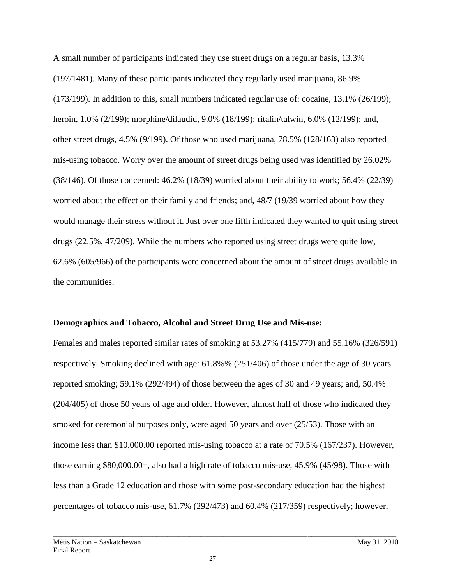A small number of participants indicated they use street drugs on a regular basis, 13.3% (197/1481). Many of these participants indicated they regularly used marijuana, 86.9% (173/199). In addition to this, small numbers indicated regular use of: cocaine, 13.1% (26/199); heroin, 1.0% (2/199); morphine/dilaudid, 9.0% (18/199); ritalin/talwin, 6.0% (12/199); and, other street drugs, 4.5% (9/199). Of those who used marijuana, 78.5% (128/163) also reported mis-using tobacco. Worry over the amount of street drugs being used was identified by 26.02% (38/146). Of those concerned: 46.2% (18/39) worried about their ability to work; 56.4% (22/39) worried about the effect on their family and friends; and, 48/7 (19/39 worried about how they would manage their stress without it. Just over one fifth indicated they wanted to quit using street drugs (22.5%, 47/209). While the numbers who reported using street drugs were quite low, 62.6% (605/966) of the participants were concerned about the amount of street drugs available in the communities.

## **Demographics and Tobacco, Alcohol and Street Drug Use and Mis-use:**

Females and males reported similar rates of smoking at 53.27% (415/779) and 55.16% (326/591) respectively. Smoking declined with age: 61.8%% (251/406) of those under the age of 30 years reported smoking; 59.1% (292/494) of those between the ages of 30 and 49 years; and, 50.4% (204/405) of those 50 years of age and older. However, almost half of those who indicated they smoked for ceremonial purposes only, were aged 50 years and over (25/53). Those with an income less than \$10,000.00 reported mis-using tobacco at a rate of 70.5% (167/237). However, those earning \$80,000.00+, also had a high rate of tobacco mis-use, 45.9% (45/98). Those with less than a Grade 12 education and those with some post-secondary education had the highest percentages of tobacco mis-use, 61.7% (292/473) and 60.4% (217/359) respectively; however,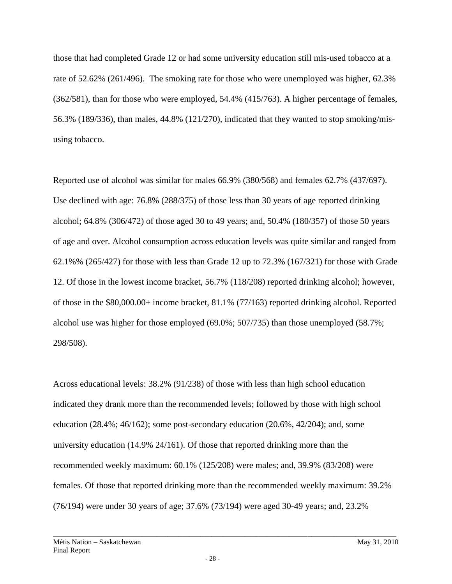those that had completed Grade 12 or had some university education still mis-used tobacco at a rate of 52.62% (261/496). The smoking rate for those who were unemployed was higher, 62.3% (362/581), than for those who were employed, 54.4% (415/763). A higher percentage of females, 56.3% (189/336), than males, 44.8% (121/270), indicated that they wanted to stop smoking/misusing tobacco.

Reported use of alcohol was similar for males 66.9% (380/568) and females 62.7% (437/697). Use declined with age: 76.8% (288/375) of those less than 30 years of age reported drinking alcohol; 64.8% (306/472) of those aged 30 to 49 years; and, 50.4% (180/357) of those 50 years of age and over. Alcohol consumption across education levels was quite similar and ranged from 62.1%% (265/427) for those with less than Grade 12 up to 72.3% (167/321) for those with Grade 12. Of those in the lowest income bracket, 56.7% (118/208) reported drinking alcohol; however, of those in the \$80,000.00+ income bracket, 81.1% (77/163) reported drinking alcohol. Reported alcohol use was higher for those employed (69.0%; 507/735) than those unemployed (58.7%; 298/508).

Across educational levels: 38.2% (91/238) of those with less than high school education indicated they drank more than the recommended levels; followed by those with high school education (28.4%; 46/162); some post-secondary education (20.6%, 42/204); and, some university education (14.9% 24/161). Of those that reported drinking more than the recommended weekly maximum: 60.1% (125/208) were males; and, 39.9% (83/208) were females. Of those that reported drinking more than the recommended weekly maximum: 39.2% (76/194) were under 30 years of age; 37.6% (73/194) were aged 30-49 years; and, 23.2%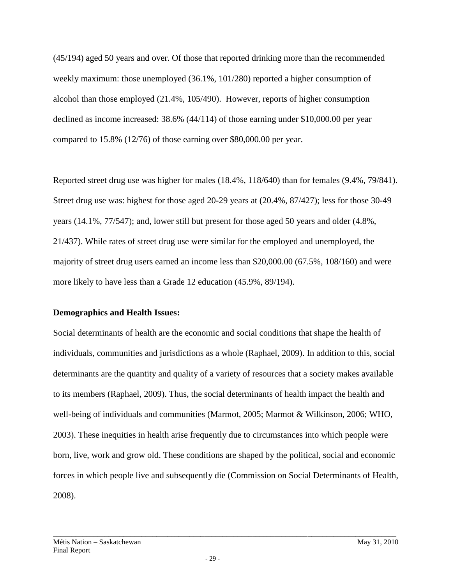(45/194) aged 50 years and over. Of those that reported drinking more than the recommended weekly maximum: those unemployed (36.1%, 101/280) reported a higher consumption of alcohol than those employed (21.4%, 105/490). However, reports of higher consumption declined as income increased: 38.6% (44/114) of those earning under \$10,000.00 per year compared to 15.8% (12/76) of those earning over \$80,000.00 per year.

Reported street drug use was higher for males (18.4%, 118/640) than for females (9.4%, 79/841). Street drug use was: highest for those aged 20-29 years at (20.4%, 87/427); less for those 30-49 years (14.1%, 77/547); and, lower still but present for those aged 50 years and older (4.8%, 21/437). While rates of street drug use were similar for the employed and unemployed, the majority of street drug users earned an income less than \$20,000.00 (67.5%, 108/160) and were more likely to have less than a Grade 12 education (45.9%, 89/194).

## **Demographics and Health Issues:**

Social determinants of health are the economic and social conditions that shape the health of individuals, communities and jurisdictions as a whole (Raphael, 2009). In addition to this, social determinants are the quantity and quality of a variety of resources that a society makes available to its members (Raphael, 2009). Thus, the social determinants of health impact the health and well-being of individuals and communities (Marmot, 2005; Marmot & Wilkinson, 2006; WHO, 2003). These inequities in health arise frequently due to circumstances into which people were born, live, work and grow old. These conditions are shaped by the political, social and economic forces in which people live and subsequently die (Commission on Social Determinants of Health, 2008).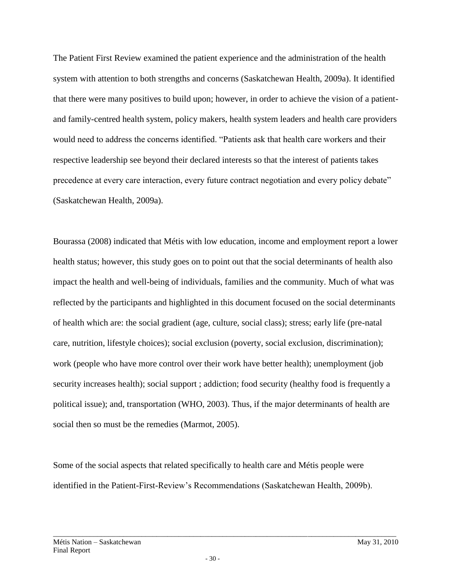The Patient First Review examined the patient experience and the administration of the health system with attention to both strengths and concerns (Saskatchewan Health, 2009a). It identified that there were many positives to build upon; however, in order to achieve the vision of a patientand family-centred health system, policy makers, health system leaders and health care providers would need to address the concerns identified. "Patients ask that health care workers and their respective leadership see beyond their declared interests so that the interest of patients takes precedence at every care interaction, every future contract negotiation and every policy debate" (Saskatchewan Health, 2009a).

Bourassa (2008) indicated that Métis with low education, income and employment report a lower health status; however, this study goes on to point out that the social determinants of health also impact the health and well-being of individuals, families and the community. Much of what was reflected by the participants and highlighted in this document focused on the social determinants of health which are: the social gradient (age, culture, social class); stress; early life (pre-natal care, nutrition, lifestyle choices); social exclusion (poverty, social exclusion, discrimination); work (people who have more control over their work have better health); unemployment (job security increases health); social support ; addiction; food security (healthy food is frequently a political issue); and, transportation (WHO, 2003). Thus, if the major determinants of health are social then so must be the remedies (Marmot, 2005).

Some of the social aspects that related specifically to health care and Métis people were identified in the Patient-First-Review's Recommendations (Saskatchewan Health, 2009b).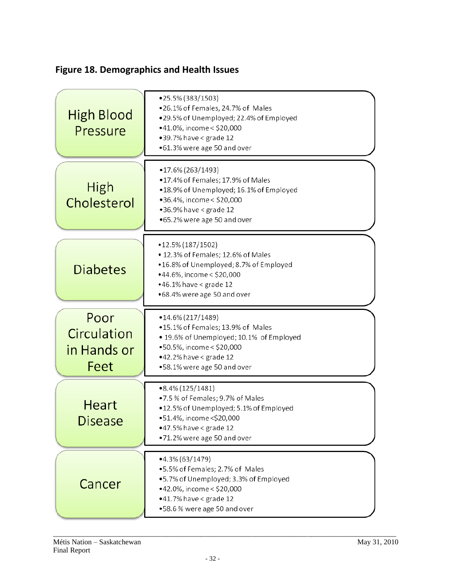# **Figure 18. Demographics and Health Issues**

| High Blood<br>Pressure                     | •25.5% (383/1503)<br>.26.1% of Females, 24.7% of Males<br>.29.5% of Unemployed; 22.4% of Employed<br>•41.0%, income < \$20,000<br>$•39.7%$ have < grade 12<br>•61.3% were age 50 and over           |
|--------------------------------------------|-----------------------------------------------------------------------------------------------------------------------------------------------------------------------------------------------------|
| High<br>Cholesterol                        | •17.6% (263/1493)<br>•17.4% of Females; 17.9% of Males<br>.18.9% of Unemployed; 16.1% of Employed<br>•36.4%, income < \$20,000<br>$•36.9\%$ have < grade 12<br>•65.2% were age 50 and over          |
| <b>Diabetes</b>                            | •12.5% (187/1502)<br>• 12.3% of Females; 12.6% of Males<br>.16.8% of Unemployed; 8.7% of Employed<br>•44.6%, income < \$20,000<br>$•46.1\%$ have < grade 12<br>•68.4% were age 50 and over          |
|                                            |                                                                                                                                                                                                     |
| Poor<br>Circulation<br>in Hands or<br>Feet | $\bullet$ 14.6% (217/1489)<br>•15.1% of Females; 13.9% of Males<br>• 19.6% of Unemployed; 10.1% of Employed<br>•50.5%, income < \$20,000<br>$•42.2%$ have < grade 12<br>•58.1% were age 50 and over |
| Heart<br><b>Disease</b>                    | $\bullet$ 8.4% (125/1481)<br>•7.5 % of Females; 9.7% of Males<br>.12.5% of Unemployed; 5.1% of Employed<br>•51.4%, income < \$20,000<br>$•47.5%$ have < grade 12<br>•71.2% were age 50 and over     |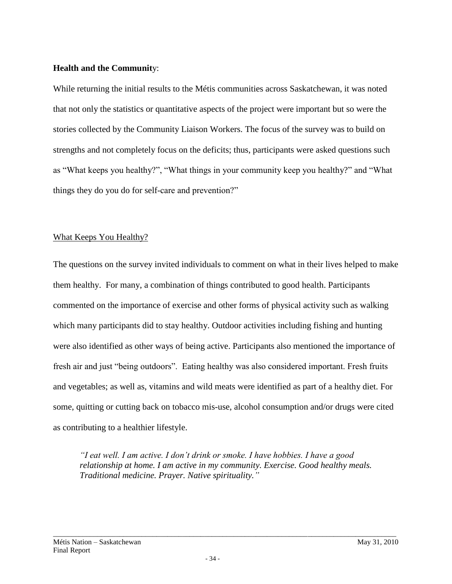#### **Health and the Communit**y:

While returning the initial results to the Métis communities across Saskatchewan, it was noted that not only the statistics or quantitative aspects of the project were important but so were the stories collected by the Community Liaison Workers. The focus of the survey was to build on strengths and not completely focus on the deficits; thus, participants were asked questions such as "What keeps you healthy?", "What things in your community keep you healthy?" and "What things they do you do for self-care and prevention?"

## What Keeps You Healthy?

The questions on the survey invited individuals to comment on what in their lives helped to make them healthy. For many, a combination of things contributed to good health. Participants commented on the importance of exercise and other forms of physical activity such as walking which many participants did to stay healthy. Outdoor activities including fishing and hunting were also identified as other ways of being active. Participants also mentioned the importance of fresh air and just "being outdoors". Eating healthy was also considered important. Fresh fruits and vegetables; as well as, vitamins and wild meats were identified as part of a healthy diet. For some, quitting or cutting back on tobacco mis-use, alcohol consumption and/or drugs were cited as contributing to a healthier lifestyle.

*"I eat well. I am active. I don't drink or smoke. I have hobbies. I have a good relationship at home. I am active in my community. Exercise. Good healthy meals. Traditional medicine. Prayer. Native spirituality."*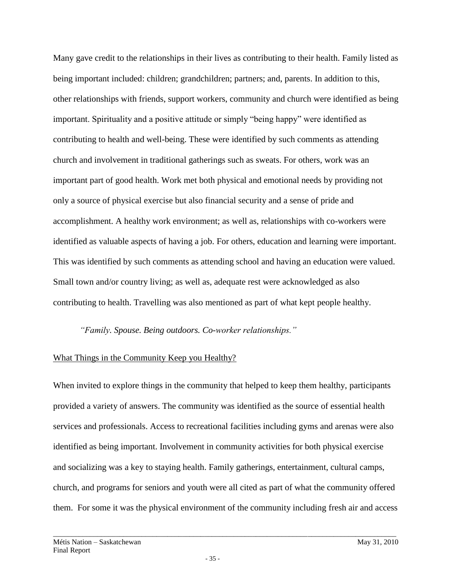Many gave credit to the relationships in their lives as contributing to their health. Family listed as being important included: children; grandchildren; partners; and, parents. In addition to this, other relationships with friends, support workers, community and church were identified as being important. Spirituality and a positive attitude or simply "being happy" were identified as contributing to health and well-being. These were identified by such comments as attending church and involvement in traditional gatherings such as sweats. For others, work was an important part of good health. Work met both physical and emotional needs by providing not only a source of physical exercise but also financial security and a sense of pride and accomplishment. A healthy work environment; as well as, relationships with co-workers were identified as valuable aspects of having a job. For others, education and learning were important. This was identified by such comments as attending school and having an education were valued. Small town and/or country living; as well as, adequate rest were acknowledged as also contributing to health. Travelling was also mentioned as part of what kept people healthy.

*"Family. Spouse. Being outdoors. Co-worker relationships."*

## What Things in the Community Keep you Healthy?

When invited to explore things in the community that helped to keep them healthy, participants provided a variety of answers. The community was identified as the source of essential health services and professionals. Access to recreational facilities including gyms and arenas were also identified as being important. Involvement in community activities for both physical exercise and socializing was a key to staying health. Family gatherings, entertainment, cultural camps, church, and programs for seniors and youth were all cited as part of what the community offered them. For some it was the physical environment of the community including fresh air and access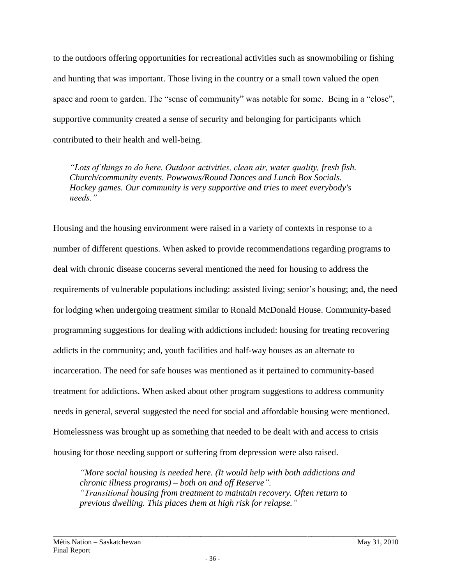to the outdoors offering opportunities for recreational activities such as snowmobiling or fishing and hunting that was important. Those living in the country or a small town valued the open space and room to garden. The "sense of community" was notable for some. Being in a "close", supportive community created a sense of security and belonging for participants which contributed to their health and well-being.

*"Lots of things to do here. Outdoor activities, clean air, water quality, fresh fish. Church/community events. Powwows/Round Dances and Lunch Box Socials. Hockey games. Our community is very supportive and tries to meet everybody's needs."* 

Housing and the housing environment were raised in a variety of contexts in response to a number of different questions. When asked to provide recommendations regarding programs to deal with chronic disease concerns several mentioned the need for housing to address the requirements of vulnerable populations including: assisted living; senior's housing; and, the need for lodging when undergoing treatment similar to Ronald McDonald House. Community-based programming suggestions for dealing with addictions included: housing for treating recovering addicts in the community; and, youth facilities and half-way houses as an alternate to incarceration. The need for safe houses was mentioned as it pertained to community-based treatment for addictions. When asked about other program suggestions to address community needs in general, several suggested the need for social and affordable housing were mentioned. Homelessness was brought up as something that needed to be dealt with and access to crisis housing for those needing support or suffering from depression were also raised.

*"More social housing is needed here. (It would help with both addictions and chronic illness programs) – both on and off Reserve". "Transitional housing from treatment to maintain recovery. Often return to previous dwelling. This places them at high risk for relapse."*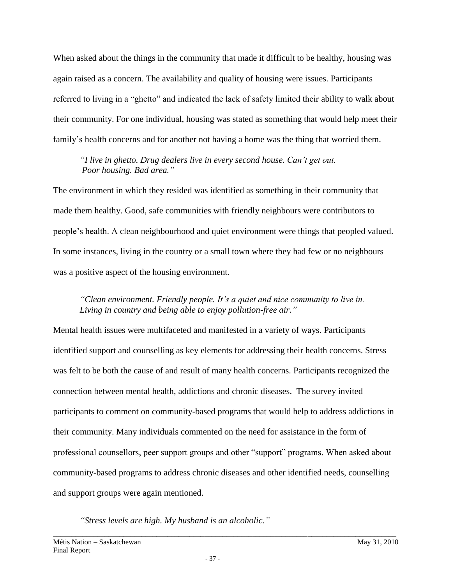When asked about the things in the community that made it difficult to be healthy, housing was again raised as a concern. The availability and quality of housing were issues. Participants referred to living in a "ghetto" and indicated the lack of safety limited their ability to walk about their community. For one individual, housing was stated as something that would help meet their family's health concerns and for another not having a home was the thing that worried them.

*"I live in ghetto. Drug dealers live in every second house. Can't get out. Poor housing. Bad area."*

The environment in which they resided was identified as something in their community that made them healthy. Good, safe communities with friendly neighbours were contributors to people's health. A clean neighbourhood and quiet environment were things that peopled valued. In some instances, living in the country or a small town where they had few or no neighbours was a positive aspect of the housing environment.

*"Clean environment. Friendly people. It's a quiet and nice community to live in. Living in country and being able to enjoy pollution-free air."*

Mental health issues were multifaceted and manifested in a variety of ways. Participants identified support and counselling as key elements for addressing their health concerns. Stress was felt to be both the cause of and result of many health concerns. Participants recognized the connection between mental health, addictions and chronic diseases. The survey invited participants to comment on community-based programs that would help to address addictions in their community. Many individuals commented on the need for assistance in the form of professional counsellors, peer support groups and other "support" programs. When asked about community-based programs to address chronic diseases and other identified needs, counselling and support groups were again mentioned.

*"Stress levels are high. My husband is an alcoholic."*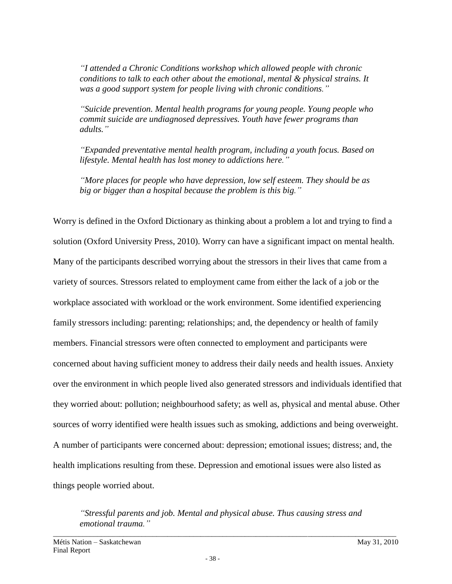*"I attended a Chronic Conditions workshop which allowed people with chronic conditions to talk to each other about the emotional, mental & physical strains. It was a good support system for people living with chronic conditions."*

*"Suicide prevention. Mental health programs for young people. Young people who commit suicide are undiagnosed depressives. Youth have fewer programs than adults."*

*"Expanded preventative mental health program, including a youth focus. Based on lifestyle. Mental health has lost money to addictions here."*

*"More places for people who have depression, low self esteem. They should be as big or bigger than a hospital because the problem is this big."*

Worry is defined in the Oxford Dictionary as thinking about a problem a lot and trying to find a solution (Oxford University Press, 2010). Worry can have a significant impact on mental health. Many of the participants described worrying about the stressors in their lives that came from a variety of sources. Stressors related to employment came from either the lack of a job or the workplace associated with workload or the work environment. Some identified experiencing family stressors including: parenting; relationships; and, the dependency or health of family members. Financial stressors were often connected to employment and participants were concerned about having sufficient money to address their daily needs and health issues. Anxiety over the environment in which people lived also generated stressors and individuals identified that they worried about: pollution; neighbourhood safety; as well as, physical and mental abuse. Other sources of worry identified were health issues such as smoking, addictions and being overweight. A number of participants were concerned about: depression; emotional issues; distress; and, the health implications resulting from these. Depression and emotional issues were also listed as things people worried about.

*"Stressful parents and job. Mental and physical abuse. Thus causing stress and emotional trauma."*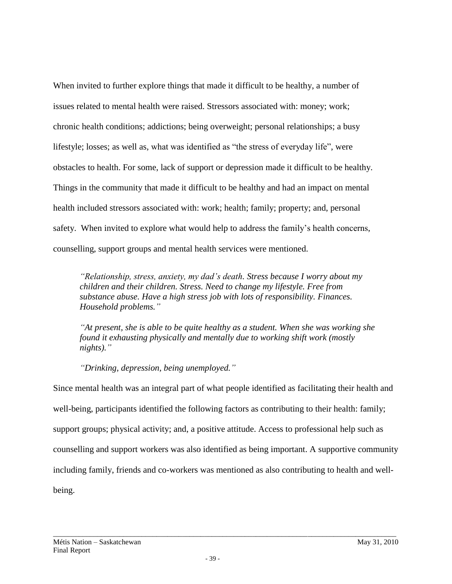When invited to further explore things that made it difficult to be healthy, a number of issues related to mental health were raised. Stressors associated with: money; work; chronic health conditions; addictions; being overweight; personal relationships; a busy lifestyle; losses; as well as, what was identified as "the stress of everyday life", were obstacles to health. For some, lack of support or depression made it difficult to be healthy. Things in the community that made it difficult to be healthy and had an impact on mental health included stressors associated with: work; health; family; property; and, personal safety. When invited to explore what would help to address the family's health concerns, counselling, support groups and mental health services were mentioned.

*"Relationship, stress, anxiety, my dad's death. Stress because I worry about my children and their children. Stress. Need to change my lifestyle. Free from substance abuse. Have a high stress job with lots of responsibility. Finances. Household problems."*

*"At present, she is able to be quite healthy as a student. When she was working she found it exhausting physically and mentally due to working shift work (mostly nights)."*

*"Drinking, depression, being unemployed."*

Since mental health was an integral part of what people identified as facilitating their health and well-being, participants identified the following factors as contributing to their health: family; support groups; physical activity; and, a positive attitude. Access to professional help such as counselling and support workers was also identified as being important. A supportive community including family, friends and co-workers was mentioned as also contributing to health and wellbeing.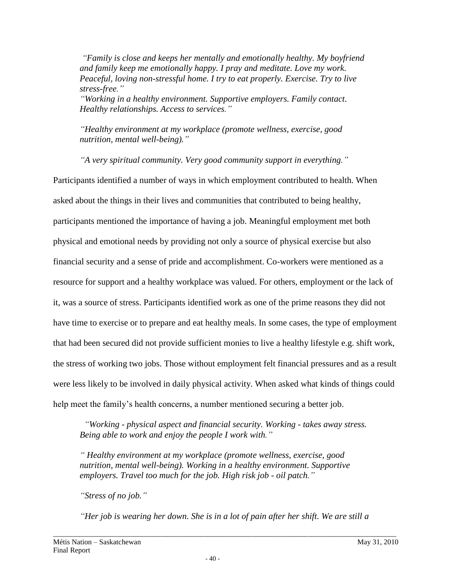*"Family is close and keeps her mentally and emotionally healthy. My boyfriend and family keep me emotionally happy. I pray and meditate. Love my work. Peaceful, loving non-stressful home. I try to eat properly. Exercise. Try to live stress-free."*

*"Working in a healthy environment. Supportive employers. Family contact. Healthy relationships. Access to services."*

*"Healthy environment at my workplace (promote wellness, exercise, good nutrition, mental well-being)."*

*"A very spiritual community. Very good community support in everything."*

Participants identified a number of ways in which employment contributed to health. When asked about the things in their lives and communities that contributed to being healthy, participants mentioned the importance of having a job. Meaningful employment met both physical and emotional needs by providing not only a source of physical exercise but also financial security and a sense of pride and accomplishment. Co-workers were mentioned as a resource for support and a healthy workplace was valued. For others, employment or the lack of it, was a source of stress. Participants identified work as one of the prime reasons they did not have time to exercise or to prepare and eat healthy meals. In some cases, the type of employment that had been secured did not provide sufficient monies to live a healthy lifestyle e.g. shift work, the stress of working two jobs. Those without employment felt financial pressures and as a result were less likely to be involved in daily physical activity. When asked what kinds of things could help meet the family's health concerns, a number mentioned securing a better job.

 *"Working - physical aspect and financial security. Working - takes away stress. Being able to work and enjoy the people I work with."*

*" Healthy environment at my workplace (promote wellness, exercise, good nutrition, mental well-being). Working in a healthy environment. Supportive employers. Travel too much for the job. High risk job - oil patch."*

*"Stress of no job."* 

*"Her job is wearing her down. She is in a lot of pain after her shift. We are still a*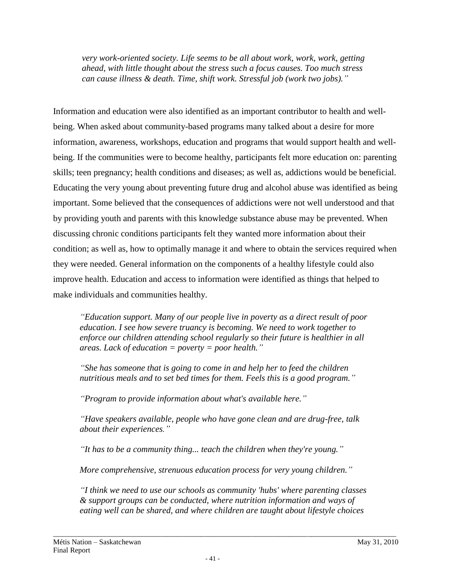*very work-oriented society. Life seems to be all about work, work, work, getting ahead, with little thought about the stress such a focus causes. Too much stress can cause illness & death. Time, shift work. Stressful job (work two jobs)."* 

Information and education were also identified as an important contributor to health and wellbeing. When asked about community-based programs many talked about a desire for more information, awareness, workshops, education and programs that would support health and wellbeing. If the communities were to become healthy, participants felt more education on: parenting skills; teen pregnancy; health conditions and diseases; as well as, addictions would be beneficial. Educating the very young about preventing future drug and alcohol abuse was identified as being important. Some believed that the consequences of addictions were not well understood and that by providing youth and parents with this knowledge substance abuse may be prevented. When discussing chronic conditions participants felt they wanted more information about their condition; as well as, how to optimally manage it and where to obtain the services required when they were needed. General information on the components of a healthy lifestyle could also improve health. Education and access to information were identified as things that helped to make individuals and communities healthy.

*"Education support. Many of our people live in poverty as a direct result of poor education. I see how severe truancy is becoming. We need to work together to enforce our children attending school regularly so their future is healthier in all areas. Lack of education = poverty = poor health."*

*"She has someone that is going to come in and help her to feed the children nutritious meals and to set bed times for them. Feels this is a good program."*

*"Program to provide information about what's available here."*

*"Have speakers available, people who have gone clean and are drug-free, talk about their experiences."*

*"It has to be a community thing... teach the children when they're young."*

*More comprehensive, strenuous education process for very young children."*

*"I think we need to use our schools as community 'hubs' where parenting classes & support groups can be conducted, where nutrition information and ways of eating well can be shared, and where children are taught about lifestyle choices*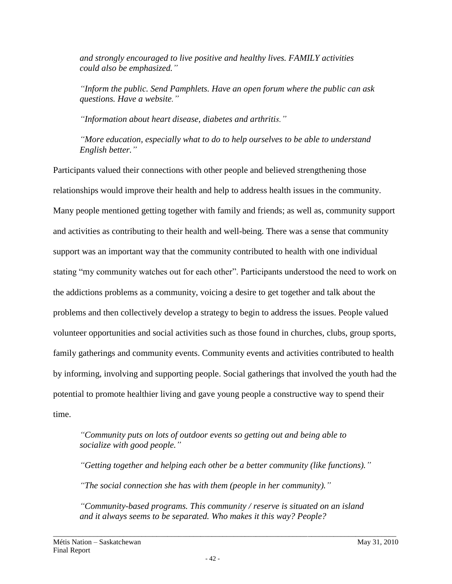*and strongly encouraged to live positive and healthy lives. FAMILY activities could also be emphasized."*

*"Inform the public. Send Pamphlets. Have an open forum where the public can ask questions. Have a website."*

*"Information about heart disease, diabetes and arthritis."*

*"More education, especially what to do to help ourselves to be able to understand English better."*

Participants valued their connections with other people and believed strengthening those relationships would improve their health and help to address health issues in the community. Many people mentioned getting together with family and friends; as well as, community support and activities as contributing to their health and well-being. There was a sense that community support was an important way that the community contributed to health with one individual stating "my community watches out for each other". Participants understood the need to work on the addictions problems as a community, voicing a desire to get together and talk about the problems and then collectively develop a strategy to begin to address the issues. People valued volunteer opportunities and social activities such as those found in churches, clubs, group sports, family gatherings and community events. Community events and activities contributed to health by informing, involving and supporting people. Social gatherings that involved the youth had the potential to promote healthier living and gave young people a constructive way to spend their time.

*"Community puts on lots of outdoor events so getting out and being able to socialize with good people."*

*"Getting together and helping each other be a better community (like functions)." "The social connection she has with them (people in her community)."*

*"Community-based programs. This community / reserve is situated on an island and it always seems to be separated. Who makes it this way? People?*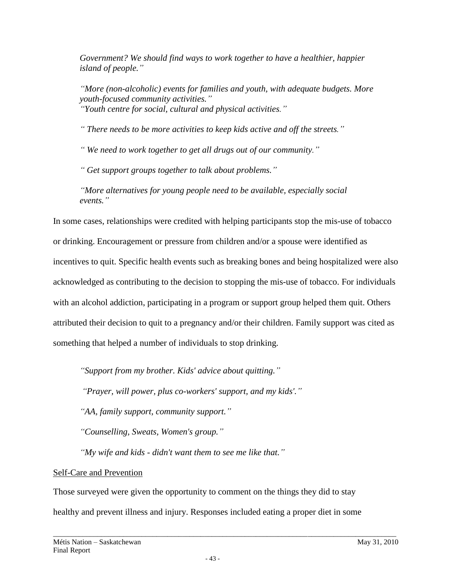*Government? We should find ways to work together to have a healthier, happier island of people."*

*"More (non-alcoholic) events for families and youth, with adequate budgets. More youth-focused community activities." "Youth centre for social, cultural and physical activities."*

*" There needs to be more activities to keep kids active and off the streets."*

*" We need to work together to get all drugs out of our community."* 

*" Get support groups together to talk about problems."*

*"More alternatives for young people need to be available, especially social events."*

In some cases, relationships were credited with helping participants stop the mis-use of tobacco or drinking. Encouragement or pressure from children and/or a spouse were identified as incentives to quit. Specific health events such as breaking bones and being hospitalized were also acknowledged as contributing to the decision to stopping the mis-use of tobacco. For individuals with an alcohol addiction, participating in a program or support group helped them quit. Others attributed their decision to quit to a pregnancy and/or their children. Family support was cited as something that helped a number of individuals to stop drinking.

*"Support from my brother. Kids' advice about quitting."* 

*"Prayer, will power, plus co-workers' support, and my kids'."* 

*"AA, family support, community support."*

*"Counselling, Sweats, Women's group."*

*"My wife and kids - didn't want them to see me like that."*

# Self-Care and Prevention

Those surveyed were given the opportunity to comment on the things they did to stay healthy and prevent illness and injury. Responses included eating a proper diet in some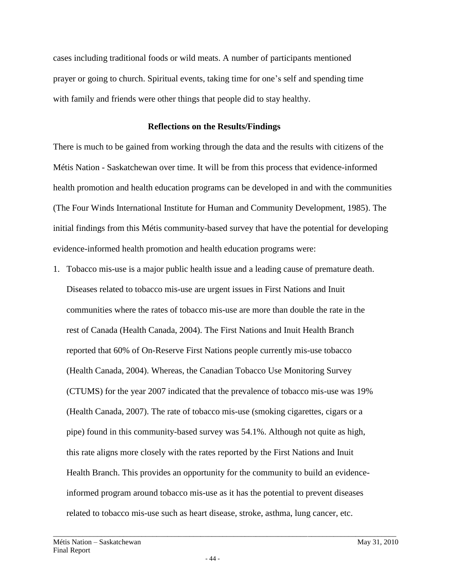cases including traditional foods or wild meats. A number of participants mentioned prayer or going to church. Spiritual events, taking time for one's self and spending time with family and friends were other things that people did to stay healthy.

#### **Reflections on the Results/Findings**

There is much to be gained from working through the data and the results with citizens of the Métis Nation - Saskatchewan over time. It will be from this process that evidence-informed health promotion and health education programs can be developed in and with the communities (The Four Winds International Institute for Human and Community Development, 1985). The initial findings from this Métis community-based survey that have the potential for developing evidence-informed health promotion and health education programs were:

1. Tobacco mis-use is a major public health issue and a leading cause of premature death. Diseases related to tobacco mis-use are urgent issues in First Nations and Inuit communities where the rates of tobacco mis-use are more than double the rate in the rest of Canada (Health Canada, 2004). The First Nations and Inuit Health Branch reported that 60% of On-Reserve First Nations people currently mis-use tobacco (Health Canada, 2004). Whereas, the Canadian Tobacco Use Monitoring Survey (CTUMS) for the year 2007 indicated that the prevalence of tobacco mis-use was 19% (Health Canada, 2007). The rate of tobacco mis-use (smoking cigarettes, cigars or a pipe) found in this community-based survey was 54.1%. Although not quite as high, this rate aligns more closely with the rates reported by the First Nations and Inuit Health Branch. This provides an opportunity for the community to build an evidenceinformed program around tobacco mis-use as it has the potential to prevent diseases related to tobacco mis-use such as heart disease, stroke, asthma, lung cancer, etc.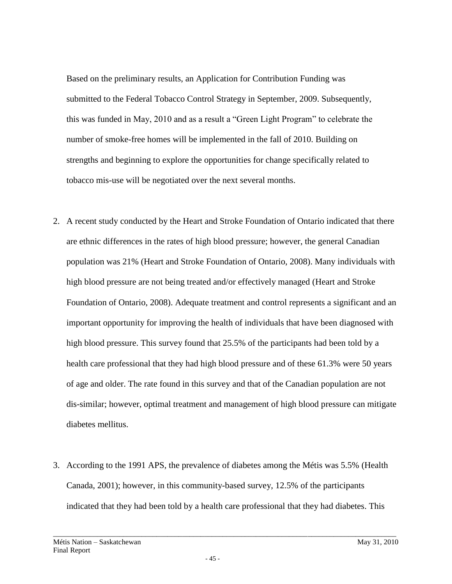Based on the preliminary results, an Application for Contribution Funding was submitted to the Federal Tobacco Control Strategy in September, 2009. Subsequently, this was funded in May, 2010 and as a result a "Green Light Program" to celebrate the number of smoke-free homes will be implemented in the fall of 2010. Building on strengths and beginning to explore the opportunities for change specifically related to tobacco mis-use will be negotiated over the next several months.

- 2. A recent study conducted by the Heart and Stroke Foundation of Ontario indicated that there are ethnic differences in the rates of high blood pressure; however, the general Canadian population was 21% (Heart and Stroke Foundation of Ontario, 2008). Many individuals with high blood pressure are not being treated and/or effectively managed (Heart and Stroke Foundation of Ontario, 2008). Adequate treatment and control represents a significant and an important opportunity for improving the health of individuals that have been diagnosed with high blood pressure. This survey found that 25.5% of the participants had been told by a health care professional that they had high blood pressure and of these 61.3% were 50 years of age and older. The rate found in this survey and that of the Canadian population are not dis-similar; however, optimal treatment and management of high blood pressure can mitigate diabetes mellitus.
- 3. According to the 1991 APS, the prevalence of diabetes among the Métis was 5.5% (Health Canada, 2001); however, in this community-based survey, 12.5% of the participants indicated that they had been told by a health care professional that they had diabetes. This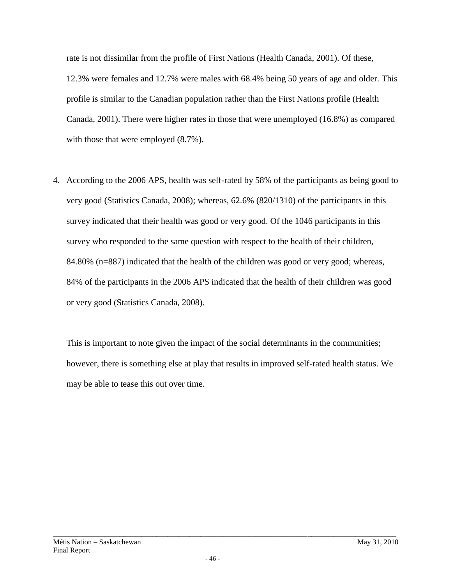rate is not dissimilar from the profile of First Nations (Health Canada, 2001). Of these, 12.3% were females and 12.7% were males with 68.4% being 50 years of age and older. This profile is similar to the Canadian population rather than the First Nations profile (Health Canada, 2001). There were higher rates in those that were unemployed (16.8%) as compared with those that were employed  $(8.7\%)$ .

4. According to the 2006 APS, health was self-rated by 58% of the participants as being good to very good (Statistics Canada, 2008); whereas, 62.6% (820/1310) of the participants in this survey indicated that their health was good or very good. Of the 1046 participants in this survey who responded to the same question with respect to the health of their children, 84.80% (n=887) indicated that the health of the children was good or very good; whereas, 84% of the participants in the 2006 APS indicated that the health of their children was good or very good (Statistics Canada, 2008).

This is important to note given the impact of the social determinants in the communities; however, there is something else at play that results in improved self-rated health status. We may be able to tease this out over time.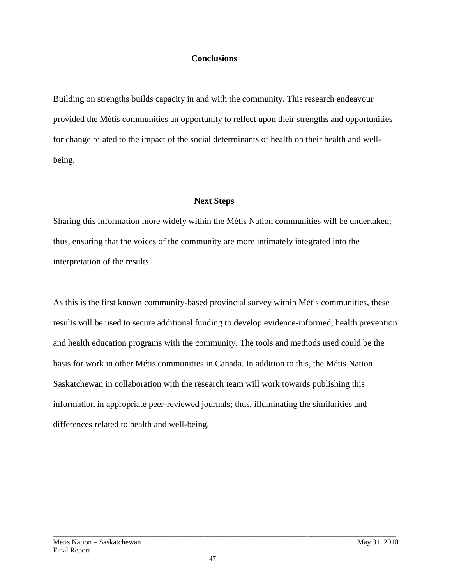#### **Conclusions**

Building on strengths builds capacity in and with the community. This research endeavour provided the Métis communities an opportunity to reflect upon their strengths and opportunities for change related to the impact of the social determinants of health on their health and wellbeing.

## **Next Steps**

Sharing this information more widely within the Métis Nation communities will be undertaken; thus, ensuring that the voices of the community are more intimately integrated into the interpretation of the results.

As this is the first known community-based provincial survey within Métis communities, these results will be used to secure additional funding to develop evidence-informed, health prevention and health education programs with the community. The tools and methods used could be the basis for work in other Métis communities in Canada. In addition to this, the Métis Nation – Saskatchewan in collaboration with the research team will work towards publishing this information in appropriate peer-reviewed journals; thus, illuminating the similarities and differences related to health and well-being.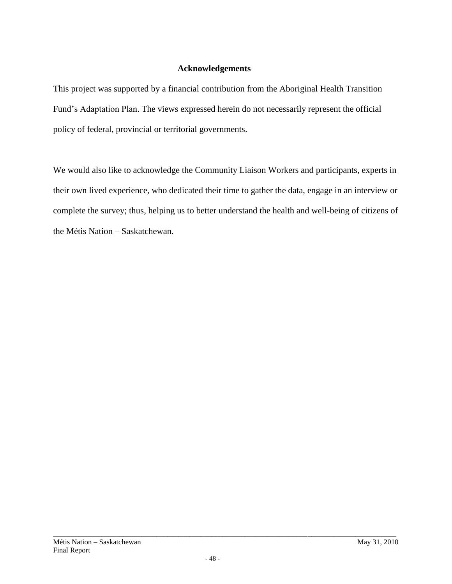## **Acknowledgements**

This project was supported by a financial contribution from the Aboriginal Health Transition Fund's Adaptation Plan. The views expressed herein do not necessarily represent the official policy of federal, provincial or territorial governments.

We would also like to acknowledge the Community Liaison Workers and participants, experts in their own lived experience, who dedicated their time to gather the data, engage in an interview or complete the survey; thus, helping us to better understand the health and well-being of citizens of the Métis Nation – Saskatchewan.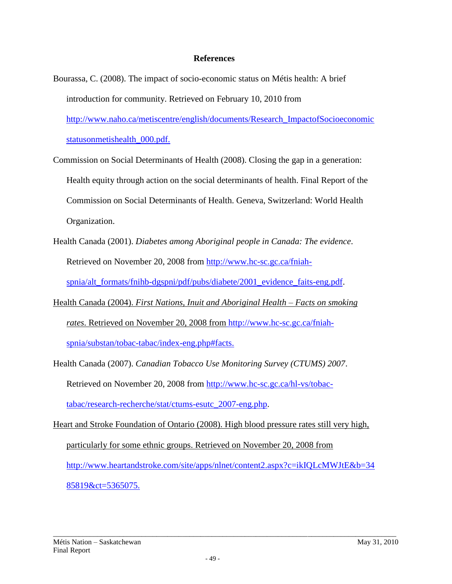#### **References**

- Bourassa, C. (2008). The impact of socio-economic status on Métis health: A brief introduction for community. Retrieved on February 10, 2010 from http://www.naho.ca/metiscentre/english/documents/Research\_ImpactofSocioeconomic statusonmetishealth\_000.pdf.
- Commission on Social Determinants of Health (2008). Closing the gap in a generation: Health equity through action on the social determinants of health. Final Report of the Commission on Social Determinants of Health. Geneva, Switzerland: World Health Organization.
- Health Canada (2001). *Diabetes among Aboriginal people in Canada: The evidence*. Retrieved on November 20, 2008 from [http://www.hc-sc.gc.ca/fniah-](http://www.hc-sc.gc.ca/fniah-spnia/alt_formats/fnihb-dgspni/pdf/pubs/diabete/2001_evidence_faits-eng.pdf)

[spnia/alt\\_formats/fnihb-dgspni/pdf/pubs/diabete/2001\\_evidence\\_faits-eng.pdf.](http://www.hc-sc.gc.ca/fniah-spnia/alt_formats/fnihb-dgspni/pdf/pubs/diabete/2001_evidence_faits-eng.pdf)

- Health Canada (2004). *First Nations, Inuit and Aboriginal Health – Facts on smoking rates*. Retrieved on November 20, 2008 from [http://www.hc-sc.gc.ca/fniah](http://www.hc-sc.gc.ca/fniah-spnia/substan/tobac-tabac/index-eng.php#facts)[spnia/substan/tobac-tabac/index-eng.php#facts.](http://www.hc-sc.gc.ca/fniah-spnia/substan/tobac-tabac/index-eng.php#facts)
- Health Canada (2007). *Canadian Tobacco Use Monitoring Survey (CTUMS) 2007*. Retrieved on November 20, 2008 from [http://www.hc-sc.gc.ca/hl-vs/tobac](http://www.hc-sc.gc.ca/hl-vs/tobac-tabac/research-recherche/stat/ctums-esutc_2007-eng.php)[tabac/research-recherche/stat/ctums-esutc\\_2007-eng.php.](http://www.hc-sc.gc.ca/hl-vs/tobac-tabac/research-recherche/stat/ctums-esutc_2007-eng.php) Heart and Stroke Foundation of Ontario (2008). High blood pressure rates still very high, particularly for some ethnic groups. Retrieved on November 20, 2008 from

[http://www.heartandstroke.com/site/apps/nlnet/content2.aspx?c=ikIQLcMWJtE&b=34](http://www.heartandstroke.com/site/apps/nlnet/content2.aspx?c=ikIQLcMWJtE&b=3485819&ct=5365075) [85819&ct=5365075.](http://www.heartandstroke.com/site/apps/nlnet/content2.aspx?c=ikIQLcMWJtE&b=3485819&ct=5365075)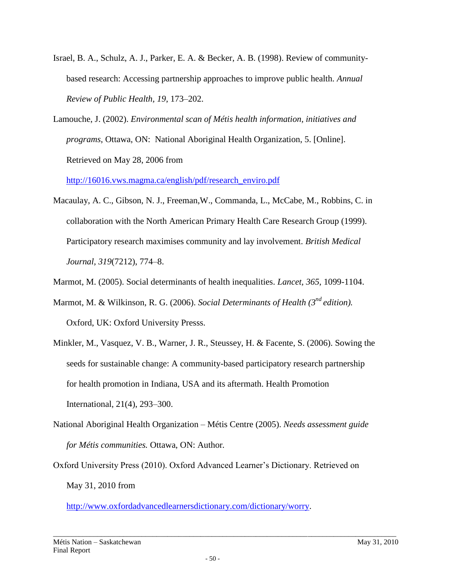- Israel, B. A., Schulz, A. J., Parker, E. A. & Becker, A. B. (1998). Review of communitybased research: Accessing partnership approaches to improve public health. *Annual Review of Public Health, 19*, 173–202.
- Lamouche, J. (2002). *Environmental scan of Métis health information, initiatives and programs*, Ottawa, ON: National Aboriginal Health Organization, 5. [Online]. Retrieved on May 28, 2006 from

[http://16016.vws.magma.ca/english/pdf/research\\_enviro.pdf](http://16016.vws.magma.ca/english/pdf/research_enviro.pdf)

Macaulay, A. C., Gibson, N. J., Freeman,W., Commanda, L., McCabe, M., Robbins, C. in collaboration with the North American Primary Health Care Research Group (1999). Participatory research maximises community and lay involvement. *British Medical Journal, 319*(7212), 774–8.

Marmot, M. (2005). Social determinants of health inequalities. *Lancet, 365*, 1099-1104.

- Marmot, M. & Wilkinson, R. G. (2006). *Social Determinants of Health (3<sup>nd</sup> edition)*. Oxford, UK: Oxford University Presss.
- Minkler, M., Vasquez, V. B., Warner, J. R., Steussey, H. & Facente, S. (2006). Sowing the seeds for sustainable change: A community-based participatory research partnership for health promotion in Indiana, USA and its aftermath. Health Promotion International, 21(4), 293–300.
- National Aboriginal Health Organization Métis Centre (2005). *Needs assessment guide for Métis communities.* Ottawa, ON: Author*.*
- Oxford University Press (2010). Oxford Advanced Learner's Dictionary. Retrieved on May 31, 2010 from

[http://www.oxfordadvancedlearnersdictionary.com/dictionary/worry.](http://www.oxfordadvancedlearnersdictionary.com/dictionary/worry)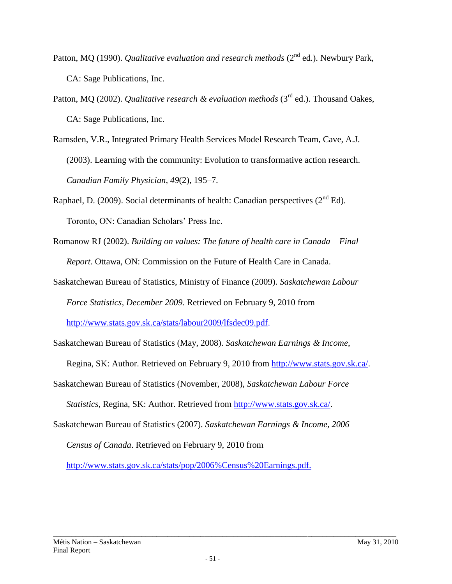- Patton, MO (1990). *Qualitative evaluation and research methods* (2<sup>nd</sup> ed.). Newbury Park, CA: Sage Publications, Inc.
- Patton, MQ (2002). *Qualitative research & evaluation methods* (3<sup>rd</sup> ed.). Thousand Oakes, CA: Sage Publications, Inc.
- Ramsden, V.R., Integrated Primary Health Services Model Research Team, Cave, A.J. (2003). Learning with the community: Evolution to transformative action research. *Canadian Family Physician, 49*(2), 195–7.
- Raphael, D. (2009). Social determinants of health: Canadian perspectives  $(2^{nd} Ed)$ . Toronto, ON: Canadian Scholars' Press Inc.
- Romanow RJ (2002). *Building on values: The future of health care in Canada – Final Report*. Ottawa, ON: Commission on the Future of Health Care in Canada.

Saskatchewan Bureau of Statistics, Ministry of Finance (2009). *Saskatchewan Labour Force Statistics, December 2009*. Retrieved on February 9, 2010 from http://www.stats.gov.sk.ca/stats/labour2009/lfsdec09.pdf.

Saskatchewan Bureau of Statistics (May, 2008). *Saskatchewan Earnings & Income*,

Regina, SK: Author. Retrieved on February 9, 2010 from [http://www.stats.gov.sk.ca/.](http://www.stats.gov.sk.ca/)

Saskatchewan Bureau of Statistics (November, 2008), *Saskatchewan Labour Force* 

*Statistics*, Regina, SK: Author. Retrieved from [http://www.stats.gov.sk.ca/.](http://www.stats.gov.sk.ca/)

Saskatchewan Bureau of Statistics (2007). *Saskatchewan Earnings & Income, 2006 Census of Canada*. Retrieved on February 9, 2010 from

http://www.stats.gov.sk.ca/stats/pop/2006%Census%20Earnings.pdf.